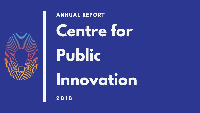# **Centre for Public Innovation**



#### ANNUAL REPORT

2 0 1 8

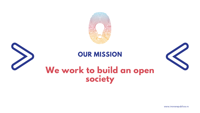

#### **OUR MISSION**

#### **We work to build an open society**



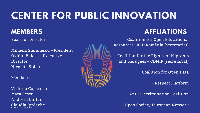## **CENTER FOR PUBLIC INNOVATION**

#### **MEMBERS**

Board of Directors

Mihaela Ștefănescu – President Ovidiu Voicu – [Executive](http://ogp.gov.ro/noutati/noul-plan-national-de-actiune-ogp-2018-2020/) Director Nicoleta Voicu

Members

#### **AFFLIATIONS**

Coalition for Open Educational Resources– RED România (secretariat)

Victoria Cojocariu Mara Sescu Andreea Chifan Claudia Iordache www.inovarepublica.ro



Coalition for the Rights of Migrants and Refugees – CDMiR (secretariat)

Coalition for Open Data

#Respect Platform

[Anti-Discrimination](http://ogp.gov.ro/noutati/noul-plan-national-de-actiune-ogp-2018-2020/) Coalition

Open Society European Network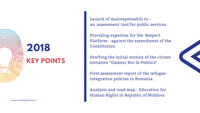

Launch of mairesponsabili.ro an assessment tool for public services.

Providing expertise for the Respect Platform - against the amendment of the Constitution.

Drafting the initial version of the citizen initiative "Oameni Noi în Politică".

First assessment report of the refugeeintegration policies in Romania.

Analysis and road map - Education for Human Rights in Republic of Moldova

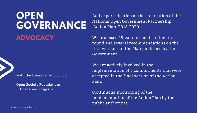### **OPEN GOVERNANCE ADVOCACY**

Active participation at the co-creation of the National Open Government Partnership Action Plan 2018-2020.

We proposed 15 commitments in the first round and several [recommendations](http://ogp.gov.ro/noutati/noul-plan-national-de-actiune-ogp-2018-2020/) on the first versions of the Plan published by the Government

We are actively involved in the implementation of 5 commitments that were accepted in the final version of the Action Plan.

Continuous monitoring of the implementation of the Action Plan by the public authorities.

With the financial support of:

Open Society [Foundations](http://ogp.gov.ro/noutati/noul-plan-national-de-actiune-ogp-2018-2020/) Information Program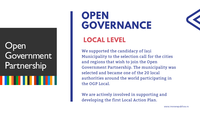#### **Open** Government Partnership

## **OPEN GOVERNANCE LOCAL LEVEL**

We supported the candidacy of Iași and regions that wish to join the Open selected and became one of the 20 local the OGP Local.

## Municipality to the selection call for the cities Government Partnership. The municipality was authorities around the world participating in

We are actively involved in supporting and developing the first Local Action Plan.

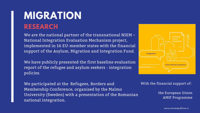### **MIGRATION RESEARCH**

We are the national partner of the [transnational](http://www.forintegration.eu/) NIEM -National Integration Evaluation Mechanism project, implemented in 16 EU-member states with the financial support of the Asylum, Migration and Integration Fund.

We have publicly presented the first baseline evaluation report of the refugee and asylum seekers - integration policies.

We participated at the Refugees, Borders and Membership Conference, organised by the Malmo University (Sweden) with a presentation of the Romanian national integration.



www.inovarepublica.ro

#### With the financial support of:

the European Union AMIF [Programme](http://ogp.gov.ro/noutati/noul-plan-national-de-actiune-ogp-2018-2020/)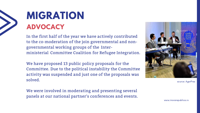

### **MIGRATION ADVOCACY**

In the first half of the year we have actively contributed to the [co-moderation](http://www.inovarepublica.ro/propunerile-coalitie-pentru-drepturile-migrantilor-si-refugiatilor-pentru-guvernul-romaniei/) of the join governmental and nongovernmental working groups of the Interministerial Committee Coalition for Refugee Integration.

We have proposed 13 public policy proposals for the Committee. Due to the political instability the Committee activity was suspended and just one of the proposals was solved.

We were involved in moderating and presenting several panels at our national partner's conferences and events.



source: AgerPres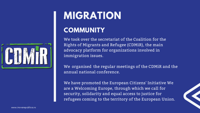We took over the secretariat of the Coalition for the Rights of Migrants and Refugee (CDMiR), the main advocacy platform for [organizations](https://weareawelcomingeurope.eu/) involved in immigration issues.

We organised the regular meetings of the CDMiR and the annual national conference.

We have promoted the European Citizens' Initiative We are a Welcoming Europe, through which we call for security, solidarity and equal access to justice for refugees coming to the territory of the European Union.



## **MIGRATION COMMUNITY**

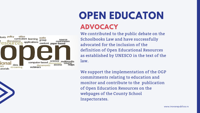We contributed to the public debate on the Schoolbooks Law and have successfully advocated for the inclusion of the definition of Open Educational Resources as established by UNESCO in the text of the law.



### **OPEN EDUCATON ADVOCACY**

We support the implementation of the OGP commitments relating to education and monitor and contribute to the publication of Open Education Resources on the webpages of the County School Inspectorates.

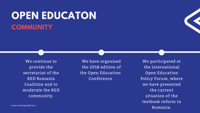### **OPEN EDUCATON COMMUNITY**

We continue to provide the secretariat of the RED Romania Coalition and to moderate the RED community.

www.inovarepublica.ro

We have organised the 2018 edition of the Open Education Conference

We participated at the international Open Education Policy Forum, where we have presented the current situation of the textbook reform in Romania.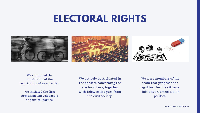### **ELECTORAL RIGHTS**





We actively participated in the debates concerning the electoral laws, together with felow colleagues from the civil society.



We were members of the team that proposed the legal text for the citizens initiative Oameni Noi în politică.

We continued the monitoring of the registration of new parties

We initiated the first Romanian Encyclopaedia of political parties.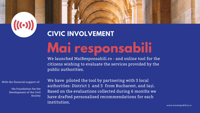**Mai responsabili**





We launched MaiResponsabili.ro - and online tool for the citizens wishing to evaluate the services provided by the public authorities.

We have piloted the tool by partnering with 3 local authorities: District 1 and 3 from Bucharest, and Iași. Based on the evaluations collected during 6 months we have drafted personalised recommendations for each institution.

With the financial support of:

the Foundation foe the [Development](http://ogp.gov.ro/noutati/noul-plan-national-de-actiune-ogp-2018-2020/) of the Civil Society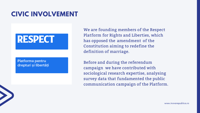#### **CIVIC INVOLVEMENT**

#### **RESPECT**

#### **Platforma pentru** drepturi și libertăți

We are founding members of the Respect Platform for Rights and Liberties, which has opposed the amendment of the Constitution aiming to redefine the definition of marriage.

Before and during the referendum campaign we have contributed with sociological research expertise, analysing survey data that [fundamented](https://platformarespect.ro/) the public communication campaign of the Platform.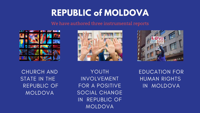### **REPUBLIC of MOLDOVA**

YOUTH INVOLVEMENT FOR A POSITIVE SOCIAL CHANGE IN REPUBLIC OF MOLDOVA





EDUCATION FOR HUMAN RIGHTS IN MOLDOVA

CHURCH AND STATE IN THE REPUBLIC OF MOLDOVA

We have authored three instrumental reports



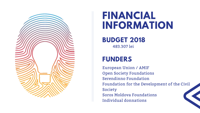

### 483.307 lei **FINANCIAL INFORMATION BUDGET 2018**

#### **FUNDERS**

European Union / AMIF Open Society Foundations Serendinno Foundation Foundation for the Development of the Civil Society Soros Moldova Foundations Individual donnations